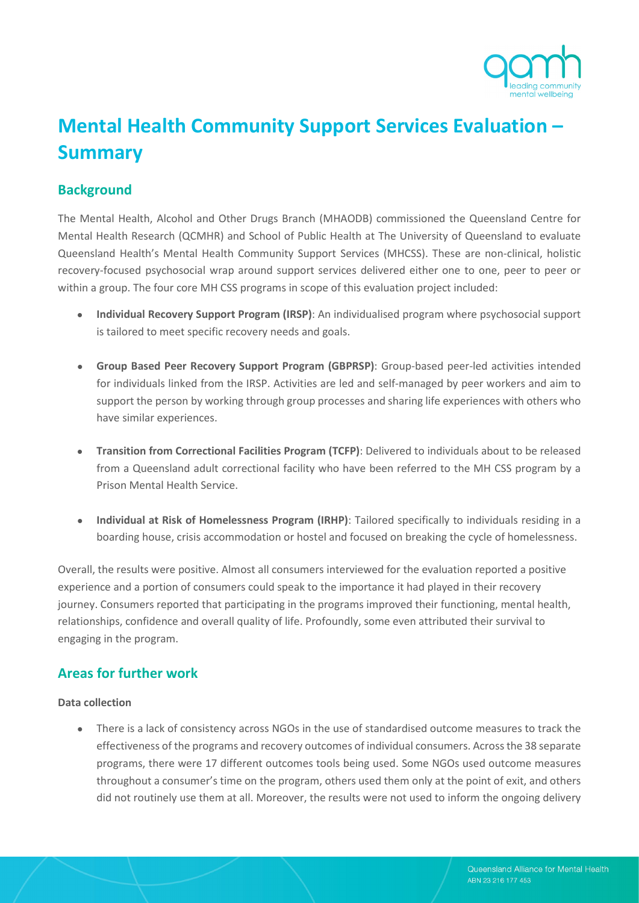

# **Mental Health Community Support Services Evaluation – Summary**

# **Background**

The Mental Health, Alcohol and Other Drugs Branch (MHAODB) commissioned the Queensland Centre for Mental Health Research (QCMHR) and School of Public Health at The University of Queensland to evaluate Queensland Health's Mental Health Community Support Services (MHCSS). These are non-clinical, holistic recovery-focused psychosocial wrap around support services delivered either one to one, peer to peer or within a group. The four core MH CSS programs in scope of this evaluation project included:

- **Individual Recovery Support Program (IRSP)**: An individualised program where psychosocial support is tailored to meet specific recovery needs and goals.
- **Group Based Peer Recovery Support Program (GBPRSP)**: Group-based peer-led activities intended for individuals linked from the IRSP. Activities are led and self-managed by peer workers and aim to support the person by working through group processes and sharing life experiences with others who have similar experiences.
- **Transition from Correctional Facilities Program (TCFP)**: Delivered to individuals about to be released from a Queensland adult correctional facility who have been referred to the MH CSS program by a Prison Mental Health Service.
- **Individual at Risk of Homelessness Program (IRHP)**: Tailored specifically to individuals residing in a boarding house, crisis accommodation or hostel and focused on breaking the cycle of homelessness.

Overall, the results were positive. Almost all consumers interviewed for the evaluation reported a positive experience and a portion of consumers could speak to the importance it had played in their recovery journey. Consumers reported that participating in the programs improved their functioning, mental health, relationships, confidence and overall quality of life. Profoundly, some even attributed their survival to engaging in the program.

# **Areas for further work**

# **Data collection**

• There is a lack of consistency across NGOs in the use of standardised outcome measures to track the effectiveness of the programs and recovery outcomes of individual consumers. Acrossthe 38 separate programs, there were 17 different outcomes tools being used. Some NGOs used outcome measures throughout a consumer's time on the program, others used them only at the point of exit, and others did not routinely use them at all. Moreover, the results were not used to inform the ongoing delivery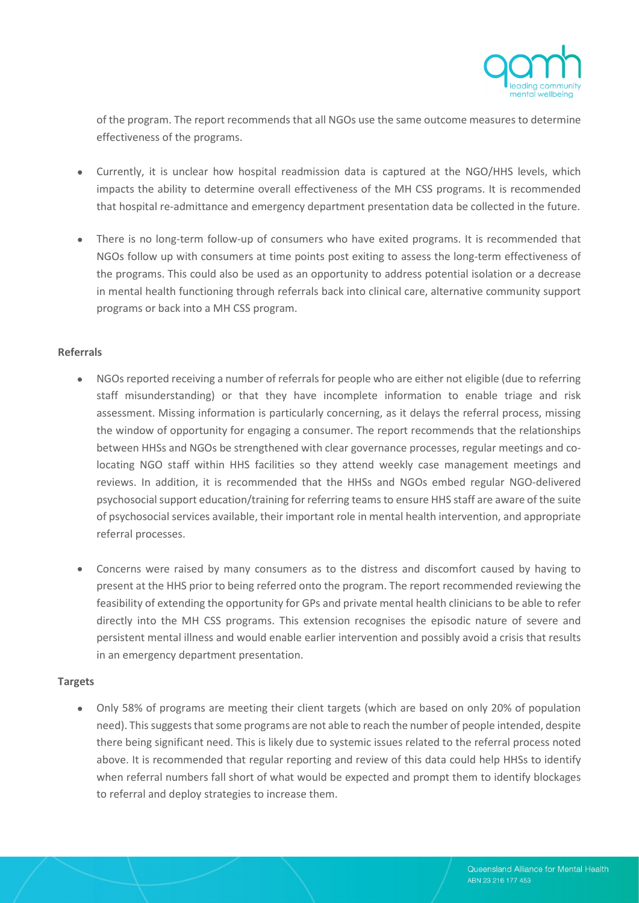

of the program. The report recommends that all NGOs use the same outcome measures to determine effectiveness of the programs.

- Currently, it is unclear how hospital readmission data is captured at the NGO/HHS levels, which impacts the ability to determine overall effectiveness of the MH CSS programs. It is recommended that hospital re-admittance and emergency department presentation data be collected in the future.
- There is no long-term follow-up of consumers who have exited programs. It is recommended that NGOs follow up with consumers at time points post exiting to assess the long-term effectiveness of the programs. This could also be used as an opportunity to address potential isolation or a decrease in mental health functioning through referrals back into clinical care, alternative community support programs or back into a MH CSS program.

## **Referrals**

- NGOs reported receiving a number of referrals for people who are either not eligible (due to referring staff misunderstanding) or that they have incomplete information to enable triage and risk assessment. Missing information is particularly concerning, as it delays the referral process, missing the window of opportunity for engaging a consumer. The report recommends that the relationships between HHSs and NGOs be strengthened with clear governance processes, regular meetings and colocating NGO staff within HHS facilities so they attend weekly case management meetings and reviews. In addition, it is recommended that the HHSs and NGOs embed regular NGO-delivered psychosocial support education/training for referring teamsto ensure HHS staff are aware of the suite of psychosocial services available, their important role in mental health intervention, and appropriate referral processes.
- Concerns were raised by many consumers as to the distress and discomfort caused by having to present at the HHS prior to being referred onto the program. The report recommended reviewing the feasibility of extending the opportunity for GPs and private mental health clinicians to be able to refer directly into the MH CSS programs. This extension recognises the episodic nature of severe and persistent mental illness and would enable earlier intervention and possibly avoid a crisis that results in an emergency department presentation.

#### **Targets**

• Only 58% of programs are meeting their client targets (which are based on only 20% of population need). This suggests that some programs are not able to reach the number of people intended, despite there being significant need. This is likely due to systemic issues related to the referral process noted above. It is recommended that regular reporting and review of this data could help HHSs to identify when referral numbers fall short of what would be expected and prompt them to identify blockages to referral and deploy strategies to increase them.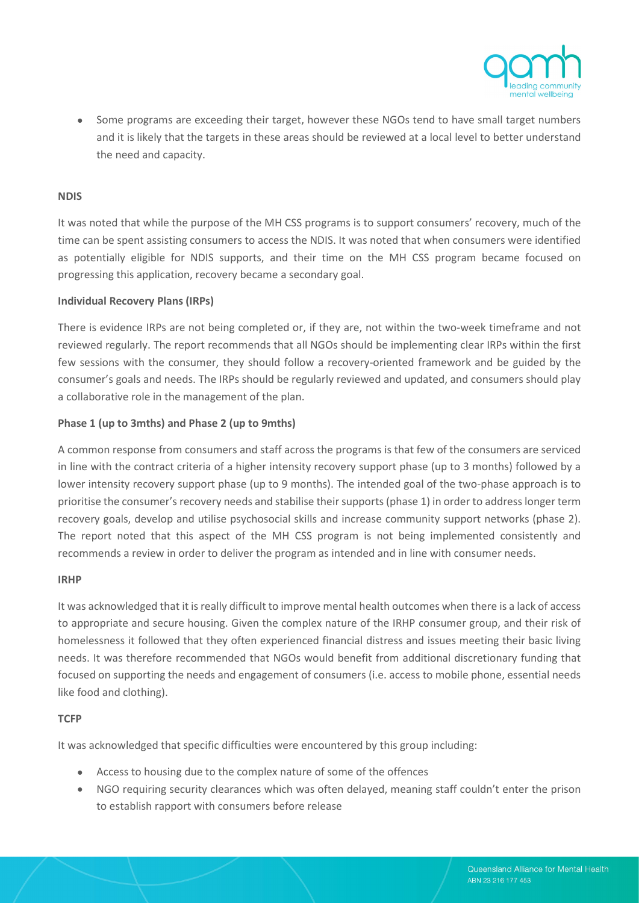

• Some programs are exceeding their target, however these NGOs tend to have small target numbers and it is likely that the targets in these areas should be reviewed at a local level to better understand the need and capacity.

#### **NDIS**

It was noted that while the purpose of the MH CSS programs is to support consumers' recovery, much of the time can be spent assisting consumers to access the NDIS. It was noted that when consumers were identified as potentially eligible for NDIS supports, and their time on the MH CSS program became focused on progressing this application, recovery became a secondary goal.

#### **Individual Recovery Plans (IRPs)**

There is evidence IRPs are not being completed or, if they are, not within the two-week timeframe and not reviewed regularly. The report recommends that all NGOs should be implementing clear IRPs within the first few sessions with the consumer, they should follow a recovery-oriented framework and be guided by the consumer's goals and needs. The IRPs should be regularly reviewed and updated, and consumers should play a collaborative role in the management of the plan.

#### **Phase 1 (up to 3mths) and Phase 2 (up to 9mths)**

A common response from consumers and staff across the programs is that few of the consumers are serviced in line with the contract criteria of a higher intensity recovery support phase (up to 3 months) followed by a lower intensity recovery support phase (up to 9 months). The intended goal of the two-phase approach is to prioritise the consumer's recovery needs and stabilise their supports (phase 1) in order to address longer term recovery goals, develop and utilise psychosocial skills and increase community support networks (phase 2). The report noted that this aspect of the MH CSS program is not being implemented consistently and recommends a review in order to deliver the program as intended and in line with consumer needs.

#### **IRHP**

It was acknowledged that it is really difficult to improve mental health outcomes when there is a lack of access to appropriate and secure housing. Given the complex nature of the IRHP consumer group, and their risk of homelessness it followed that they often experienced financial distress and issues meeting their basic living needs. It was therefore recommended that NGOs would benefit from additional discretionary funding that focused on supporting the needs and engagement of consumers (i.e. access to mobile phone, essential needs like food and clothing).

#### **TCFP**

It was acknowledged that specific difficulties were encountered by this group including:

- Access to housing due to the complex nature of some of the offences
- NGO requiring security clearances which was often delayed, meaning staff couldn't enter the prison to establish rapport with consumers before release